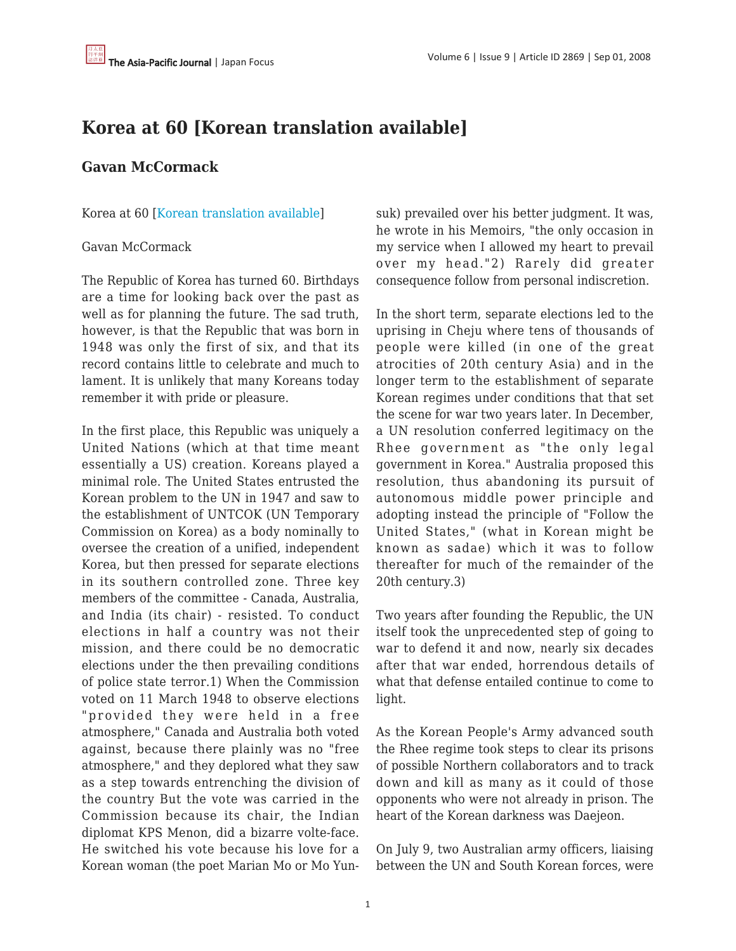## **Korea at 60 [Korean translation available]**

## **Gavan McCormack**

Korea at 60 [[Korean translation available](http://translate.google.com/translate?u=http%3A%2F%2Fwww.japanfocus.org%2F_Gavan__McCormack-Korea_at_60__Korean_translation_available_&sl=en&tl=ko&hl=en&ie=UTF-8)]

## Gavan McCormack

The Republic of Korea has turned 60. Birthdays are a time for looking back over the past as well as for planning the future. The sad truth, however, is that the Republic that was born in 1948 was only the first of six, and that its record contains little to celebrate and much to lament. It is unlikely that many Koreans today remember it with pride or pleasure.

In the first place, this Republic was uniquely a United Nations (which at that time meant essentially a US) creation. Koreans played a minimal role. The United States entrusted the Korean problem to the UN in 1947 and saw to the establishment of UNTCOK (UN Temporary Commission on Korea) as a body nominally to oversee the creation of a unified, independent Korea, but then pressed for separate elections in its southern controlled zone. Three key members of the committee - Canada, Australia, and India (its chair) - resisted. To conduct elections in half a country was not their mission, and there could be no democratic elections under the then prevailing conditions of police state terror.1) When the Commission voted on 11 March 1948 to observe elections "provided they were held in a free atmosphere," Canada and Australia both voted against, because there plainly was no "free atmosphere," and they deplored what they saw as a step towards entrenching the division of the country But the vote was carried in the Commission because its chair, the Indian diplomat KPS Menon, did a bizarre volte-face. He switched his vote because his love for a Korean woman (the poet Marian Mo or Mo Yunsuk) prevailed over his better judgment. It was, he wrote in his Memoirs, "the only occasion in my service when I allowed my heart to prevail over my head."2) Rarely did greater consequence follow from personal indiscretion.

In the short term, separate elections led to the uprising in Cheju where tens of thousands of people were killed (in one of the great atrocities of 20th century Asia) and in the longer term to the establishment of separate Korean regimes under conditions that that set the scene for war two years later. In December, a UN resolution conferred legitimacy on the Rhee government as "the only legal government in Korea." Australia proposed this resolution, thus abandoning its pursuit of autonomous middle power principle and adopting instead the principle of "Follow the United States," (what in Korean might be known as sadae) which it was to follow thereafter for much of the remainder of the 20th century.3)

Two years after founding the Republic, the UN itself took the unprecedented step of going to war to defend it and now, nearly six decades after that war ended, horrendous details of what that defense entailed continue to come to light.

As the Korean People's Army advanced south the Rhee regime took steps to clear its prisons of possible Northern collaborators and to track down and kill as many as it could of those opponents who were not already in prison. The heart of the Korean darkness was Daejeon.

On July 9, two Australian army officers, liaising between the UN and South Korean forces, were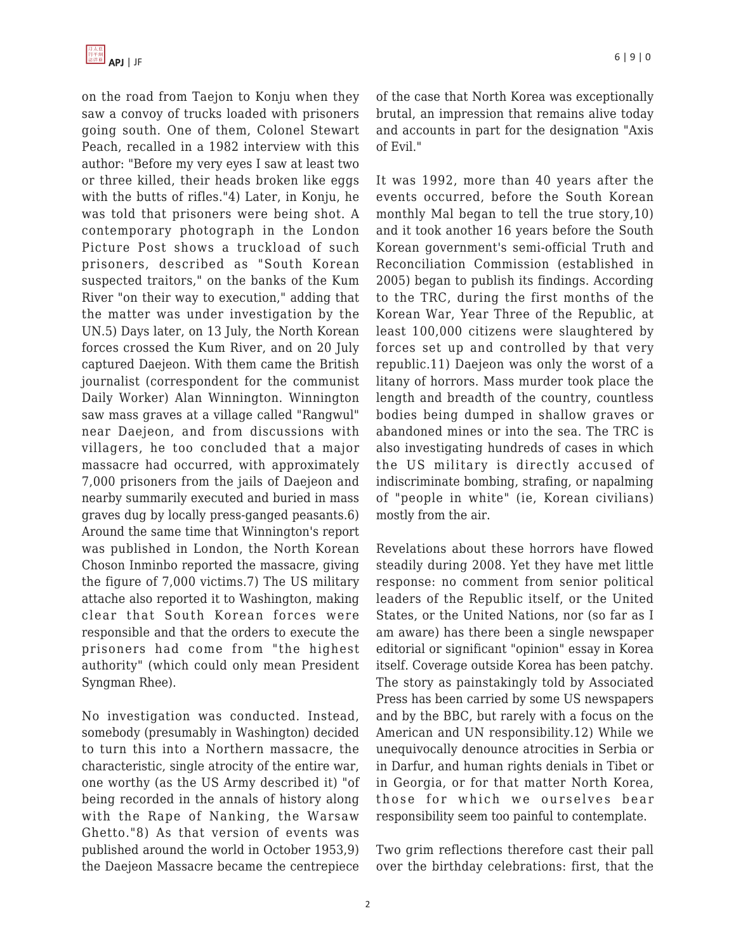on the road from Taejon to Konju when they saw a convoy of trucks loaded with prisoners going south. One of them, Colonel Stewart Peach, recalled in a 1982 interview with this author: "Before my very eyes I saw at least two or three killed, their heads broken like eggs with the butts of rifles."4) Later, in Konju, he was told that prisoners were being shot. A contemporary photograph in the London Picture Post shows a truckload of such prisoners, described as "South Korean suspected traitors," on the banks of the Kum River "on their way to execution," adding that the matter was under investigation by the UN.5) Days later, on 13 July, the North Korean forces crossed the Kum River, and on 20 July captured Daejeon. With them came the British journalist (correspondent for the communist Daily Worker) Alan Winnington. Winnington saw mass graves at a village called "Rangwul" near Daejeon, and from discussions with villagers, he too concluded that a major massacre had occurred, with approximately 7,000 prisoners from the jails of Daejeon and nearby summarily executed and buried in mass graves dug by locally press-ganged peasants.6) Around the same time that Winnington's report was published in London, the North Korean Choson Inminbo reported the massacre, giving the figure of 7,000 victims.7) The US military attache also reported it to Washington, making clear that South Korean forces were responsible and that the orders to execute the prisoners had come from "the highest authority" (which could only mean President Syngman Rhee).

No investigation was conducted. Instead, somebody (presumably in Washington) decided to turn this into a Northern massacre, the characteristic, single atrocity of the entire war, one worthy (as the US Army described it) "of being recorded in the annals of history along with the Rape of Nanking, the Warsaw Ghetto."8) As that version of events was published around the world in October 1953,9) the Daejeon Massacre became the centrepiece of the case that North Korea was exceptionally brutal, an impression that remains alive today and accounts in part for the designation "Axis of Evil."

It was 1992, more than 40 years after the events occurred, before the South Korean monthly Mal began to tell the true story,10) and it took another 16 years before the South Korean government's semi-official Truth and Reconciliation Commission (established in 2005) began to publish its findings. According to the TRC, during the first months of the Korean War, Year Three of the Republic, at least 100,000 citizens were slaughtered by forces set up and controlled by that very republic.11) Daejeon was only the worst of a litany of horrors. Mass murder took place the length and breadth of the country, countless bodies being dumped in shallow graves or abandoned mines or into the sea. The TRC is also investigating hundreds of cases in which the US military is directly accused of indiscriminate bombing, strafing, or napalming of "people in white" (ie, Korean civilians) mostly from the air.

Revelations about these horrors have flowed steadily during 2008. Yet they have met little response: no comment from senior political leaders of the Republic itself, or the United States, or the United Nations, nor (so far as I am aware) has there been a single newspaper editorial or significant "opinion" essay in Korea itself. Coverage outside Korea has been patchy. The story as painstakingly told by Associated Press has been carried by some US newspapers and by the BBC, but rarely with a focus on the American and UN responsibility.12) While we unequivocally denounce atrocities in Serbia or in Darfur, and human rights denials in Tibet or in Georgia, or for that matter North Korea, those for which we ourselves bear responsibility seem too painful to contemplate.

Two grim reflections therefore cast their pall over the birthday celebrations: first, that the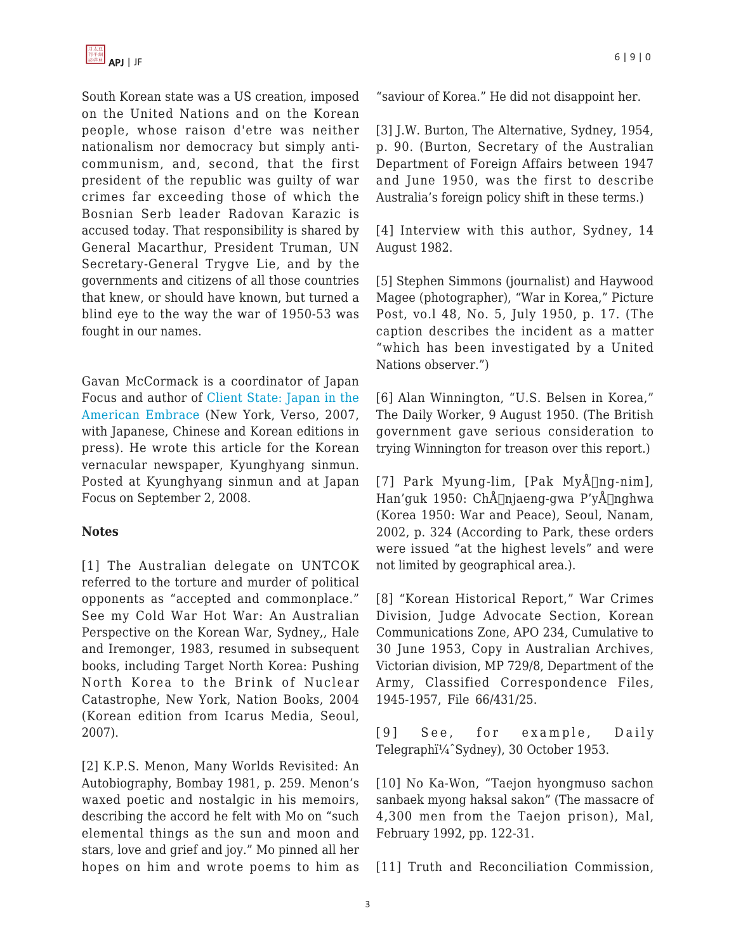

South Korean state was a US creation, imposed on the United Nations and on the Korean people, whose raison d'etre was neither nationalism nor democracy but simply anticommunism, and, second, that the first president of the republic was guilty of war crimes far exceeding those of which the Bosnian Serb leader Radovan Karazic is accused today. That responsibility is shared by General Macarthur, President Truman, UN Secretary-General Trygve Lie, and by the governments and citizens of all those countries that knew, or should have known, but turned a blind eye to the way the war of 1950-53 was fought in our names.

Gavan McCormack is a coordinator of Japan Focus and author of [Client State: Japan in the](http://www.amazon.com/Client-State-Japan-American-Embrace/dp/184467133X) [American Embrace](http://www.amazon.com/Client-State-Japan-American-Embrace/dp/184467133X) (New York, Verso, 2007, with Japanese, Chinese and Korean editions in press). He wrote this article for the Korean vernacular newspaper, Kyunghyang sinmun. Posted at Kyunghyang sinmun and at Japan Focus on September 2, 2008.

## **Notes**

[1] The Australian delegate on UNTCOK referred to the torture and murder of political opponents as "accepted and commonplace." See my Cold War Hot War: An Australian Perspective on the Korean War, Sydney,, Hale and Iremonger, 1983, resumed in subsequent books, including Target North Korea: Pushing North Korea to the Brink of Nuclear Catastrophe, New York, Nation Books, 2004 (Korean edition from Icarus Media, Seoul, 2007).

[2] K.P.S. Menon, Many Worlds Revisited: An Autobiography, Bombay 1981, p. 259. Menon's waxed poetic and nostalgic in his memoirs, describing the accord he felt with Mo on "such elemental things as the sun and moon and stars, love and grief and joy." Mo pinned all her hopes on him and wrote poems to him as "saviour of Korea." He did not disappoint her.

[3] J.W. Burton, The Alternative, Sydney, 1954, p. 90. (Burton, Secretary of the Australian Department of Foreign Affairs between 1947 and June 1950, was the first to describe Australia's foreign policy shift in these terms.)

[4] Interview with this author, Sydney, 14 August 1982.

[5] Stephen Simmons (journalist) and Haywood Magee (photographer), "War in Korea," Picture Post, vo.l 48, No. 5, July 1950, p. 17. (The caption describes the incident as a matter "which has been investigated by a United Nations observer.")

[6] Alan Winnington, "U.S. Belsen in Korea," The Daily Worker, 9 August 1950. (The British government gave serious consideration to trying Winnington for treason over this report.)

[7] Park Myung-lim, [Pak MyÅ $[n]$ ng-nim], Han'guk 1950: ChÅ∏njaeng-gwa P'yÅ∏nghwa (Korea 1950: War and Peace), Seoul, Nanam, 2002, p. 324 (According to Park, these orders were issued "at the highest levels" and were not limited by geographical area.).

[8] "Korean Historical Report," War Crimes Division, Judge Advocate Section, Korean Communications Zone, APO 234, Cumulative to 30 June 1953, Copy in Australian Archives, Victorian division, MP 729/8, Department of the Army, Classified Correspondence Files, 1945-1957, File 66/431/25.

[9] See, for example, Daily Telegraphi<sup>1/4</sup> Sydney), 30 October 1953.

[10] No Ka-Won, "Taejon hyongmuso sachon sanbaek myong haksal sakon" (The massacre of 4,300 men from the Taejon prison), Mal, February 1992, pp. 122-31.

[11] Truth and Reconciliation Commission,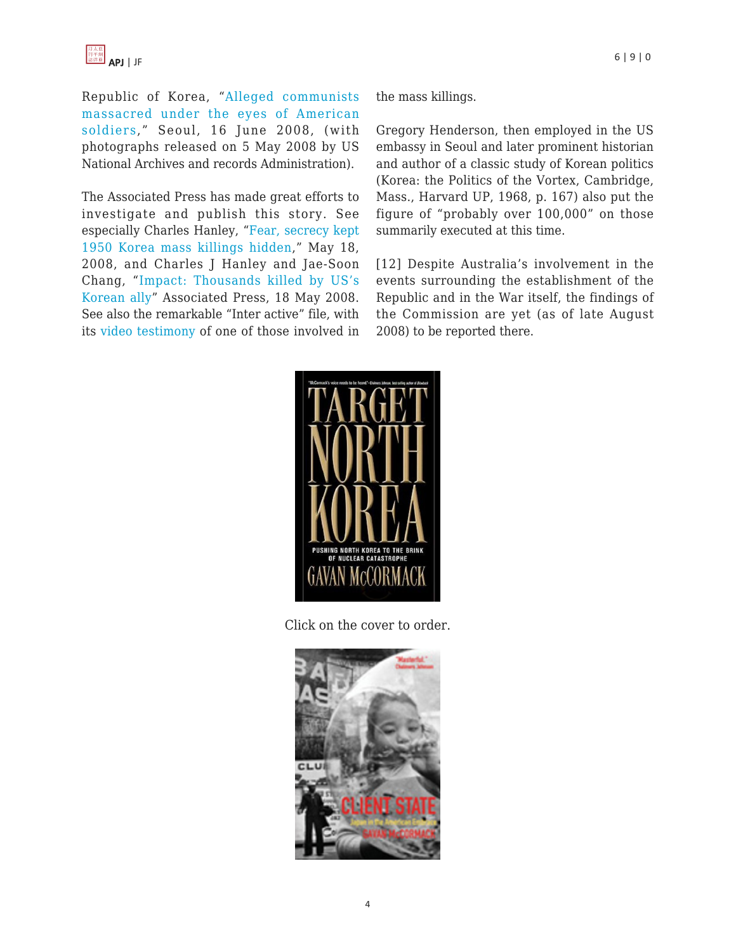Republic of Korea, "[Alleged communists](http://observers.france24.com/en/content/20080613-south-korea-massacre-US-army-photos) [massacred under the eyes of American](http://observers.france24.com/en/content/20080613-south-korea-massacre-US-army-photos) [soldiers](http://observers.france24.com/en/content/20080613-south-korea-massacre-US-army-photos)," Seoul, 16 June 2008, (with photographs released on 5 May 2008 by US National Archives and records Administration).

The Associated Press has made great efforts to investigate and publish this story. See especially Charles Hanley, ["Fear, secrecy kept](http://www.foxnews.com/wires/2008May18/0,4670,KoreaMassExecutionsCoveredUp,00.html) [1950 Korea mass killings hidden](http://www.foxnews.com/wires/2008May18/0,4670,KoreaMassExecutionsCoveredUp,00.html)," May 18, 2008, and Charles J Hanley and Jae-Soon Chang, "[Impact: Thousands killed by US's](http://www.vmvz.com/ap-impact-thousands-killed-by-uss-korean-ally/) [Korean ally](http://www.vmvz.com/ap-impact-thousands-killed-by-uss-korean-ally/)" Associated Press, 18 May 2008. See also the remarkable "Inter active" file, with its [video testimony](http://video.google.com/videoplay?docid=8602966109011000392) of one of those involved in the mass killings.

Gregory Henderson, then employed in the US embassy in Seoul and later prominent historian and author of a classic study of Korean politics (Korea: the Politics of the Vortex, Cambridge, Mass., Harvard UP, 1968, p. 167) also put the figure of "probably over 100,000" on those summarily executed at this time.

[12] Despite Australia's involvement in the events surrounding the establishment of the Republic and in the War itself, the findings of the Commission are yet (as of late August 2008) to be reported there.



Click on the cover to order.